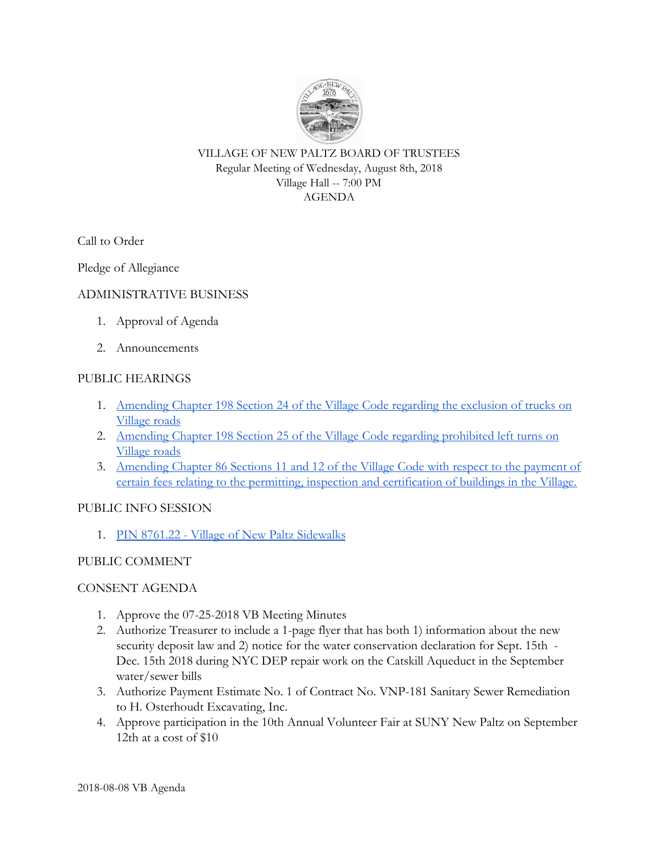

VILLAGE OF NEW PALTZ BOARD OF TRUSTEES Regular Meeting of Wednesday, August 8th, 2018 Village Hall -- 7:00 PM AGENDA

Call to Order

Pledge of Allegiance

## ADMINISTRATIVE BUSINESS

- 1. Approval of Agenda
- 2. Announcements

## PUBLIC HEARINGS

- 1. [Amending Chapter 198 Section 24 of the Village Code regarding the exclusion of trucks on](https://drive.google.com/open?id=156BRbGeyEzCKKuABN1PsQOlXLte5UtSz) [Village roads](https://drive.google.com/open?id=156BRbGeyEzCKKuABN1PsQOlXLte5UtSz)
- 2. [Amending Chapter 198 Section 25 of the Village Code regarding prohibited left turns on](https://drive.google.com/open?id=156BRbGeyEzCKKuABN1PsQOlXLte5UtSz) [Village roads](https://drive.google.com/open?id=156BRbGeyEzCKKuABN1PsQOlXLte5UtSz)
- 3. [Amending Chapter 86 Sections 11 and 12 of the Village Code with respect to the payment of](https://drive.google.com/open?id=1rqBe6i_qN4hg0sKLnHf7WDwMHA6J_ynR) [certain fees relating to the permitting, inspection and certification of buildings in the Village.](https://drive.google.com/open?id=1rqBe6i_qN4hg0sKLnHf7WDwMHA6J_ynR)

### PUBLIC INFO SESSION

1. [PIN 8761.22 - Village of New Paltz Sidewalks](https://drive.google.com/open?id=1fj_hWCKMmPsBGF2vZbO-jQ8m0Hz7HdDv)

### PUBLIC COMMENT

### CONSENT AGENDA

- 1. Approve the 07-25-2018 VB Meeting Minutes
- 2. Authorize Treasurer to include a 1-page flyer that has both 1) information about the new security deposit law and 2) notice for the water conservation declaration for Sept. 15th - Dec. 15th 2018 during NYC DEP repair work on the Catskill Aqueduct in the September water/sewer bills
- 3. Authorize Payment Estimate No. 1 of Contract No. VNP-181 Sanitary Sewer Remediation to H. Osterhoudt Excavating, Inc.
- 4. Approve participation in the 10th Annual Volunteer Fair at SUNY New Paltz on September 12th at a cost of \$10